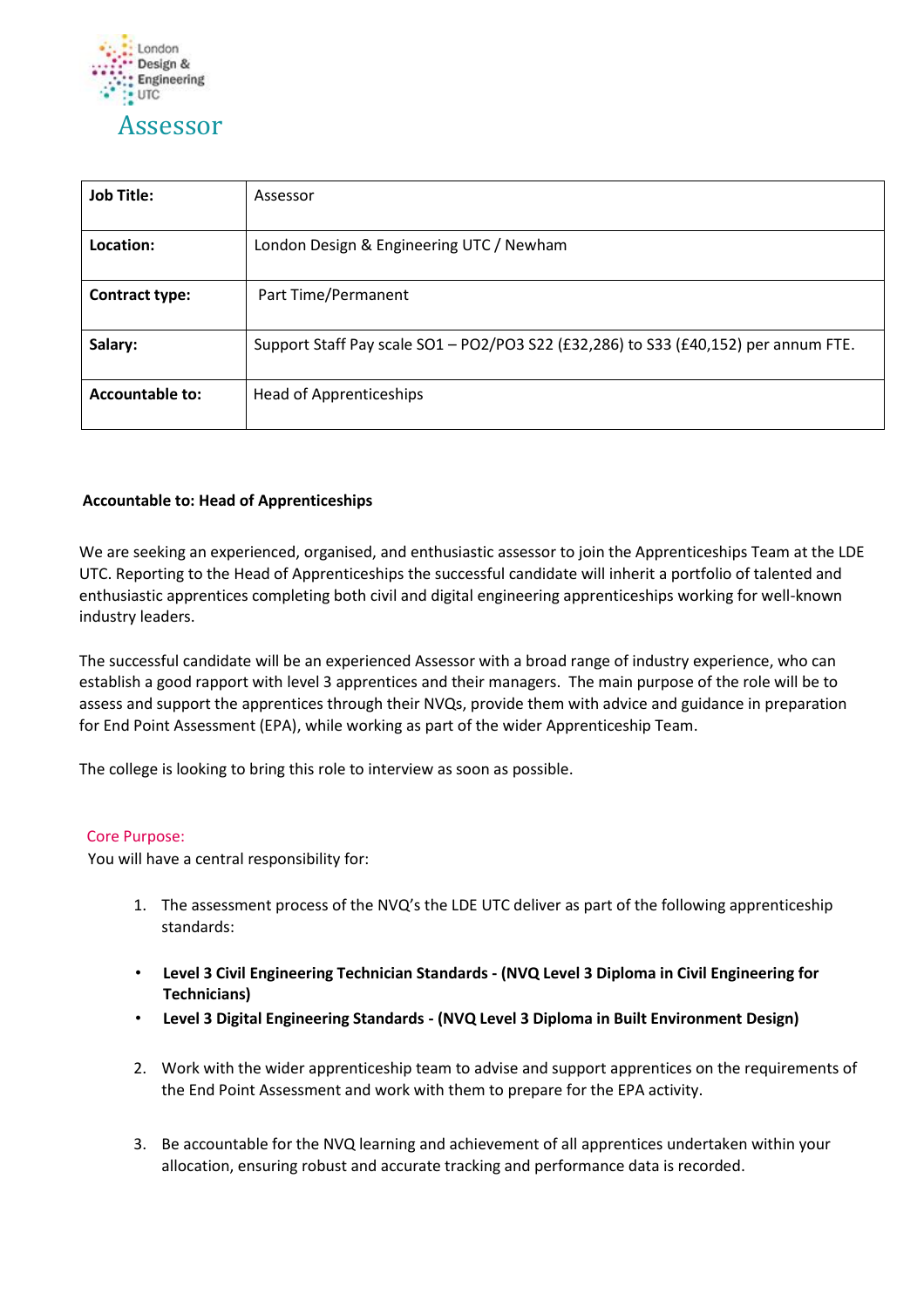

| <b>Job Title:</b>      | Assessor                                                                            |
|------------------------|-------------------------------------------------------------------------------------|
| Location:              | London Design & Engineering UTC / Newham                                            |
| <b>Contract type:</b>  | Part Time/Permanent                                                                 |
| Salary:                | Support Staff Pay scale SO1 - PO2/PO3 S22 (£32,286) to S33 (£40,152) per annum FTE. |
| <b>Accountable to:</b> | <b>Head of Apprenticeships</b>                                                      |

# **Accountable to: Head of Apprenticeships**

We are seeking an experienced, organised, and enthusiastic assessor to join the Apprenticeships Team at the LDE UTC. Reporting to the Head of Apprenticeships the successful candidate will inherit a portfolio of talented and enthusiastic apprentices completing both civil and digital engineering apprenticeships working for well-known industry leaders.

The successful candidate will be an experienced Assessor with a broad range of industry experience, who can establish a good rapport with level 3 apprentices and their managers. The main purpose of the role will be to assess and support the apprentices through their NVQs, provide them with advice and guidance in preparation for End Point Assessment (EPA), while working as part of the wider Apprenticeship Team.

The college is looking to bring this role to interview as soon as possible.

#### Core Purpose:

You will have a central responsibility for:

- 1. The assessment process of the NVQ's the LDE UTC deliver as part of the following apprenticeship standards:
- **Level 3 Civil Engineering Technician Standards - (NVQ Level 3 Diploma in Civil Engineering for Technicians)**
- **Level 3 Digital Engineering Standards - (NVQ Level 3 Diploma in Built Environment Design)**
- 2. Work with the wider apprenticeship team to advise and support apprentices on the requirements of the End Point Assessment and work with them to prepare for the EPA activity.
- 3. Be accountable for the NVQ learning and achievement of all apprentices undertaken within your allocation, ensuring robust and accurate tracking and performance data is recorded.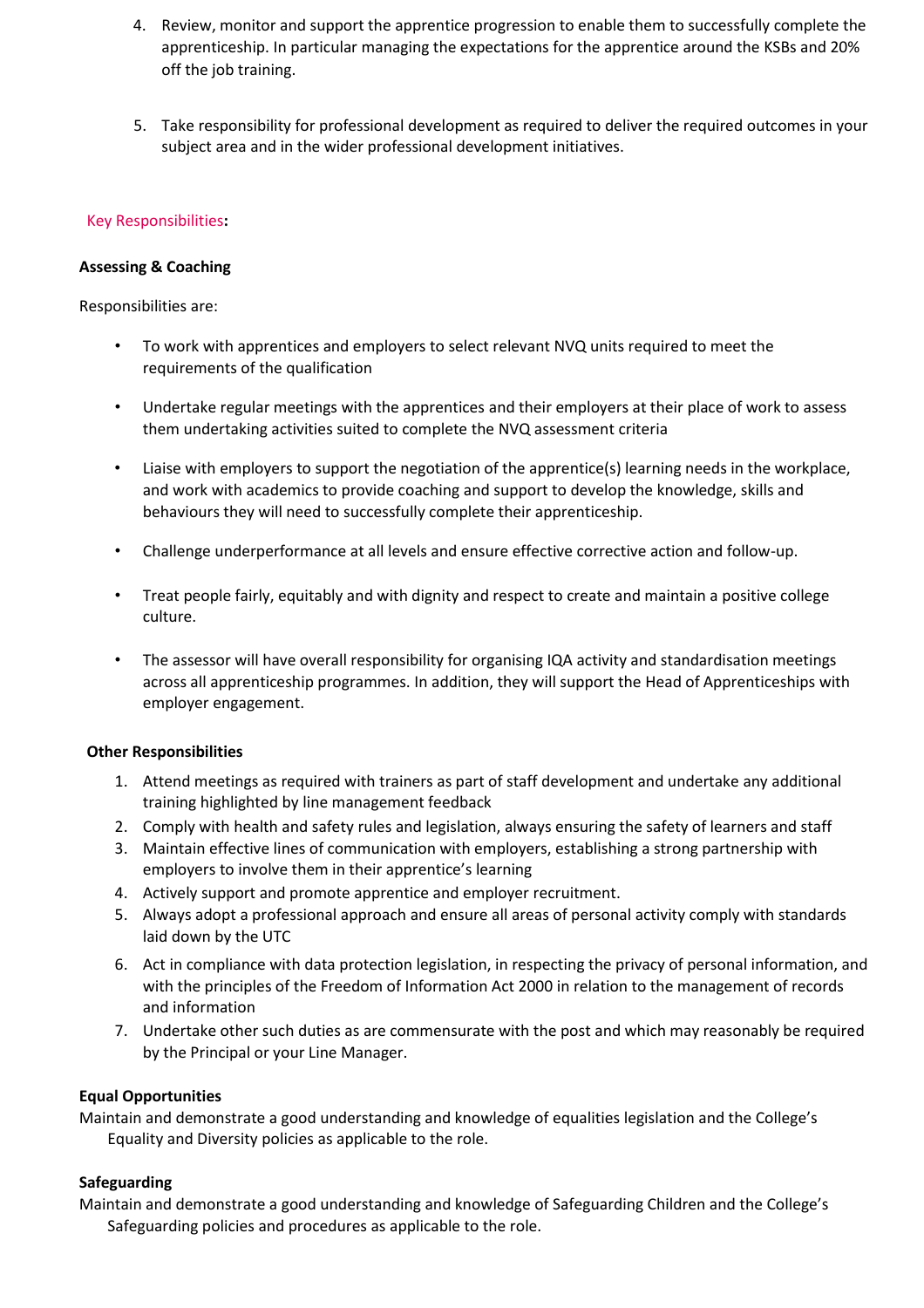- 4. Review, monitor and support the apprentice progression to enable them to successfully complete the apprenticeship. In particular managing the expectations for the apprentice around the KSBs and 20% off the job training.
- 5. Take responsibility for professional development as required to deliver the required outcomes in your subject area and in the wider professional development initiatives.

### Key Responsibilities**:**

### **Assessing & Coaching**

Responsibilities are:

- To work with apprentices and employers to select relevant NVQ units required to meet the requirements of the qualification
- Undertake regular meetings with the apprentices and their employers at their place of work to assess them undertaking activities suited to complete the NVQ assessment criteria
- Liaise with employers to support the negotiation of the apprentice(s) learning needs in the workplace, and work with academics to provide coaching and support to develop the knowledge, skills and behaviours they will need to successfully complete their apprenticeship.
- Challenge underperformance at all levels and ensure effective corrective action and follow-up.
- Treat people fairly, equitably and with dignity and respect to create and maintain a positive college culture.
- The assessor will have overall responsibility for organising IQA activity and standardisation meetings across all apprenticeship programmes. In addition, they will support the Head of Apprenticeships with employer engagement.

# **Other Responsibilities**

- 1. Attend meetings as required with trainers as part of staff development and undertake any additional training highlighted by line management feedback
- 2. Comply with health and safety rules and legislation, always ensuring the safety of learners and staff
- 3. Maintain effective lines of communication with employers, establishing a strong partnership with employers to involve them in their apprentice's learning
- 4. Actively support and promote apprentice and employer recruitment.
- 5. Always adopt a professional approach and ensure all areas of personal activity comply with standards laid down by the UTC
- 6. Act in compliance with data protection legislation, in respecting the privacy of personal information, and with the principles of the Freedom of Information Act 2000 in relation to the management of records and information
- 7. Undertake other such duties as are commensurate with the post and which may reasonably be required by the Principal or your Line Manager.

# **Equal Opportunities**

Maintain and demonstrate a good understanding and knowledge of equalities legislation and the College's Equality and Diversity policies as applicable to the role.

#### **Safeguarding**

Maintain and demonstrate a good understanding and knowledge of Safeguarding Children and the College's Safeguarding policies and procedures as applicable to the role.